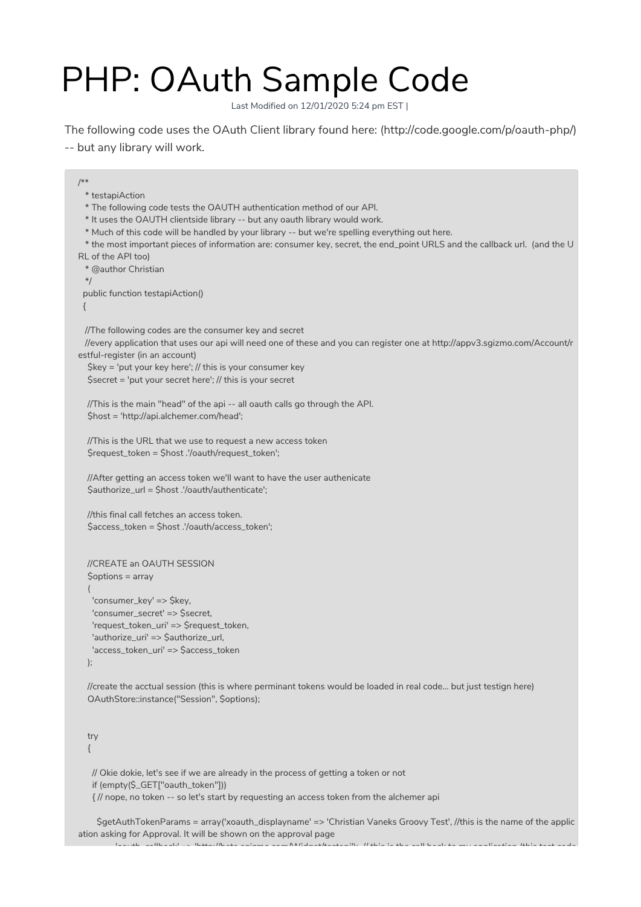## PHP: OAuth Sample Code

Last Modified on 12/01/2020 5:24 pm EST |

The following code uses the OAuth Client library found here: (http://code.google.com/p/oauth-php/) -- but any library will work.

/\*\* \* testapiAction \* The following code tests the OAUTH authentication method of our API. \* It uses the OAUTH clientside library -- but any oauth library would work. \* Much of this code will be handled by your library -- but we're spelling everything out here. \* the most important pieces of information are: consumer key, secret, the end\_point URLS and the callback url. (and the U RL of the API too) \* @author Christian \*/ public function testapiAction() { //The following codes are the consumer key and secret //every application that uses our api will need one of these and you can register one at http://appv3.sgizmo.com/Account/r estful-register (in an account) \$key = 'put your key here'; // this is your consumer key \$secret = 'put your secret here'; // this is your secret //This is the main "head" of the api -- all oauth calls go through the API. \$host = 'http://api.alchemer.com/head'; //This is the URL that we use to request a new access token \$request\_token = \$host .'/oauth/request\_token'; //After getting an access token we'll want to have the user authenicate \$authorize\_url = \$host .'/oauth/authenticate'; //this final call fetches an access token. \$access\_token = \$host .'/oauth/access\_token'; //CREATE an OAUTH SESSION  $\text{Soptions} = \text{array}$ ( 'consumer\_key' => \$key, 'consumer\_secret' => \$secret, 'request\_token\_uri' => \$request\_token, 'authorize\_uri' => \$authorize\_url, 'access\_token\_uri' => \$access\_token ); //create the acctual session (this is where perminant tokens would be loaded in real code... but just testign here) OAuthStore::instance("Session", \$options); try {

// Okie dokie, let's see if we are already in the process of getting a token or not if (empty(\$\_GET["oauth\_token"])) { // nope, no token -- so let's start by requesting an access token from the alchemer api

\$getAuthTokenParams = array('xoauth\_displayname' => 'Christian Vaneks Groovy Test', //this is the name of the applic ation asking for Approval. It will be shown on the approval page<br>shown as a location of the action of the calmon cam Middelbasi 'oauth\_callback' => 'http://beta.sgizmo.com/Widget/testapi'); // this is the call back to my application (this test code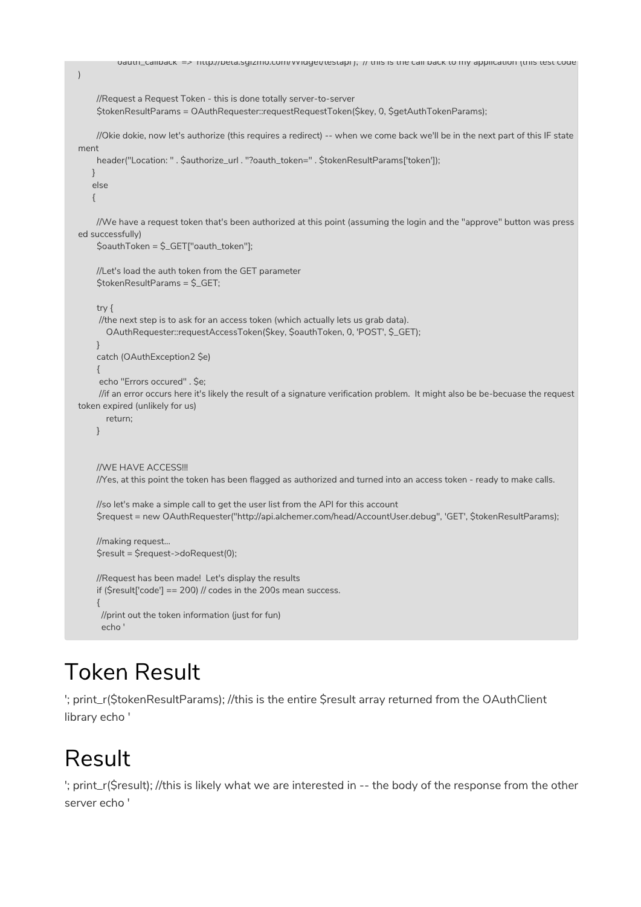```
'oauth_callback' => 'http://beta.sgizmo.com/Widget/testapi'); // this is the call back to my application (this test code
```

```
//Request a Request Token - this is done totally server-to-server
    $tokenResultParams = OAuthRequester::requestRequestToken($key, 0, $getAuthTokenParams);
    //Okie dokie, now let's authorize (this requires a redirect) -- when we come back we'll be in the next part of this IF state
ment
    header("Location: " . $authorize_url . "?oauth_token=" . $tokenResultParams['token']);
   }
   else
   {
    //We have a request token that's been authorized at this point (assuming the login and the "approve" button was press
ed successfully)
    $oauthToken = $_GET["oauth_token"];
    //Let's load the auth token from the GET parameter
    $tokenResultParams = $_GET;
    try {
     //the next step is to ask for an access token (which actually lets us grab data).
       OAuthRequester::requestAccessToken($key, $oauthToken, 0, 'POST', $_GET);
    }
    catch (OAuthException2 $e)
    {
     echo "Errors occured" . $e;
     //if an error occurs here it's likely the result of a signature verification problem. It might also be be-becuase the request
token expired (unlikely for us)
      return;
    }
    //WE HAVE ACCESS!!!
    //Yes, at this point the token has been flagged as authorized and turned into an access token - ready to make calls.
    //so let's make a simple call to get the user list from the API for this account
    $request = new OAuthRequester("http://api.alchemer.com/head/AccountUser.debug", 'GET', $tokenResultParams);
    //making request...
    $result = $request->doRequest(0);
    //Request has been made! Let's display the results
    if ($result['code'] == 200) // codes in the 200s mean success.
     {
     //print out the token information (just for fun)
     echo '
```
## Token Result

'; print\_r(\$tokenResultParams); //this is the entire \$result array returned from the OAuthClient library echo '

## Result

'; print\_r(\$result); //this is likely what we are interested in -- the body of the response from the other server echo '

)